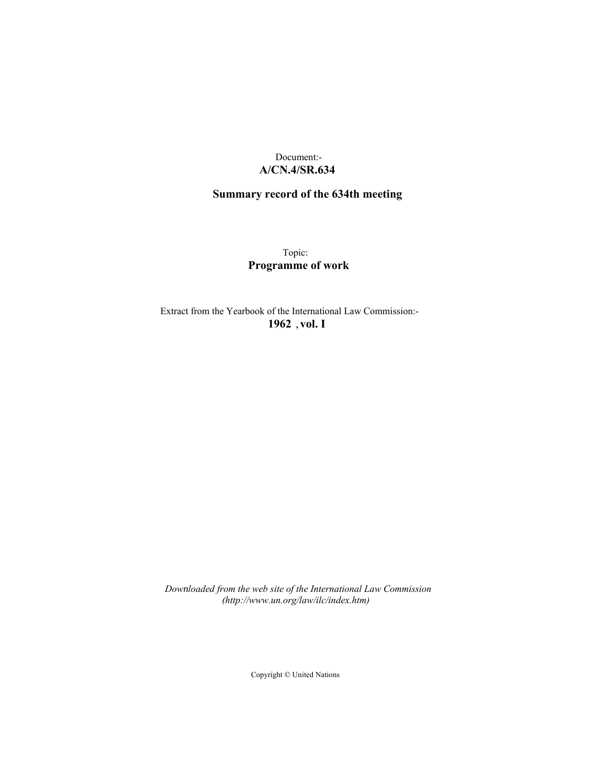## Document:- **A/CN.4/SR.634**

# **Summary record of the 634th meeting**

Topic: **Programme of work**

Extract from the Yearbook of the International Law Commission:- **1962** ,**vol. I**

*Downloaded from the web site of the International Law Commission (http://www.un.org/law/ilc/index.htm)*

Copyright © United Nations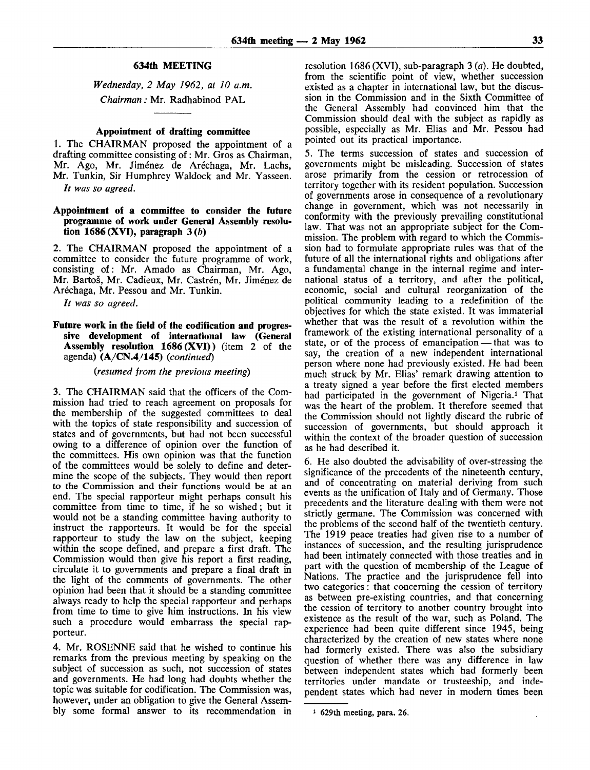## **634th MEETING**

*Wednesday, 2 May 1962, at 10 a.m. Chairman:* Mr. Radhabinod PAL

#### **Appointment of drafting committee**

1. The CHAIRMAN proposed the appointment of a drafting committee consisting of: Mr. Gros as Chairman, Mr. Ago, Mr. Jiménez de Aréchaga, Mr. Lachs, Mr. Tunkin, Sir Humphrey Waldock and Mr. Yasseen.

*It was so agreed.*

#### **Appointment of a committee to consider the future programme of work under General Assembly resolution 1686 (XVI), paragraph 3** *(b)*

*2.* The CHAIRMAN proposed the appointment of a committee to consider the future programme of work, consisting of: Mr. Amado as Chairman, Mr. Ago, Mr. Bartoš, Mr. Cadieux, Mr. Castrén, Mr. Jiménez de Aréchaga, Mr. Pessou and Mr. Tunkin.

*It was so agreed.*

#### **Future work in the field of the codification and progressive development of international law (General Assembly resolution 1686 (XVI))** (item 2 of the agenda) **(A/CN.4/145)** *(continued)*

### *(resumed from the previous meeting)*

3. The CHAIRMAN said that the officers of the Commission had tried to reach agreement on proposals for the membership of the suggested committees to deal with the topics of state responsibility and succession of states and of governments, but had not been successful owing to a difference of opinion over the function of the committees. His own opinion was that the function of the committees would be solely to define and determine the scope of the subjects. They would then report to the Commission and their functions would be at an end. The special rapporteur might perhaps consult his committee from time to time, if he so wished ; but it would not be a standing committee having authority to instruct the rapporteurs. It would be for the special rapporteur to study the law on the subject, keeping within the scope defined, and prepare a first draft. The Commission would then give his report a first reading, circulate it to governments and prepare a final draft in the light of the comments of governments. The other opinion had been that it should be a standing committee always ready to help the special rapporteur and perhaps from time to time to give him instructions. In his view such a procedure would embarrass the special rapporteur.

4. Mr. ROSENNE said that he wished to continue his remarks from the previous meeting by speaking on the subject of succession as such, not succession of states and governments. He had long had doubts whether the topic was suitable for codification. The Commission was, however, under an obligation to give the General Assembly some formal answer to its recommendation in resolution 1686 (XVI), sub-paragraph 3 *(a).* He doubted, from the scientific point of view, whether succession existed as a chapter in international law, but the discussion in the Commission and in the Sixth Committee of the General Assembly had convinced him that the Commission should deal with the subject as rapidly as possible, especially as Mr. Elias and Mr. Pessou had pointed out its practical importance.

5. The terms succession of states and succession of governments might be misleading. Succession of states arose primarily from the cession or retrocession of territory together with its resident population. Succession of governments arose in consequence of a revolutionary change in government, which was not necessarily in conformity with the previously prevailing constitutional law. That was not an appropriate subject for the Commission. The problem with regard to which the Commission had to formulate appropriate rules was that of the future of all the international rights and obligations after a fundamental change in the internal regime and international status of a territory, and after the political, economic, social and cultural reorganization of the political community leading to a redefinition of the objectives for which the state existed. It was immaterial whether that was the result of a revolution within the framework of the existing international personality of a state, or of the process of emancipation — that was to say, the creation of a new independent international person where none had previously existed. He had been much struck by Mr. Elias' remark drawing attention to a treaty signed a year before the first elected members had participated in the government of Nigeria.<sup>1</sup> That was the heart of the problem. It therefore seemed that the Commission should not lightly discard the rubric of succession of governments, but should approach it within the context of the broader question of succession as he had described it.

6. He also doubted the advisability of over-stressing the significance of the precedents of the nineteenth century, and of concentrating on material deriving from such events as the unification of Italy and of Germany. Those precedents and the literature dealing with them were not strictly germane. The Commission was concerned with the problems of the second half of the twentieth century. The 1919 peace treaties had given rise to a number of instances of succession, and the resulting jurisprudence had been intimately connected with those treaties and in part with the question of membership of the League of Nations. The practice and the jurisprudence fell into two categories: that concerning the cession of territory as between pre-existing countries, and that concerning the cession of territory to another country brought into existence as the result of the war, such as Poland. The experience had been quite different since 1945, being characterized by the creation of new states where none had formerly existed. There was also the subsidiary question of whether there was any difference in law between independent states which had formerly been territories under mandate or trusteeship, and independent states which had never in modern times been

<sup>1</sup> 629th meeting, para. 26.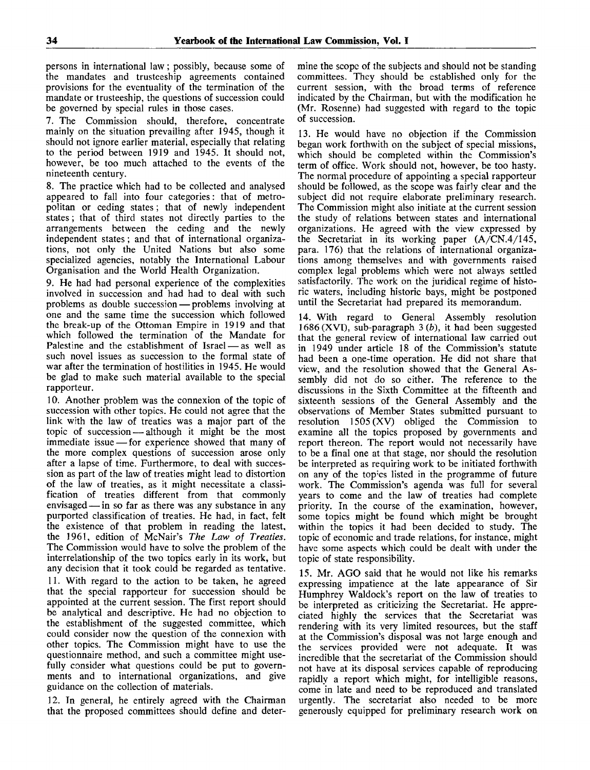persons in international law; possibly, because some of the mandates and trusteeship agreements contained provisions for the eventuality of the termination of the mandate or trusteeship, the questions of succession could be governed by special rules in those cases.

7. The Commission should, therefore, concentrate mainly on the situation prevailing after 1945, though it should not ignore earlier material, especially that relating to the period between 1919 and 1945. It should not, however, be too much attached to the events of the nineteenth century.

8. The practice which had to be collected and analysed appeared to fall into four categories: that of metropolitan or ceding states; that of newly independent states; that of third states not directly parties to the arrangements between the ceding and the newly independent states ; and that of international organizations, not only the United Nations but also some specialized agencies, notably the International Labour Organisation and the World Health Organization.

9. He had had personal experience of the complexities involved in succession and had had to deal with such problems as double succession — problems involving at one and the same time the succession which followed the break-up of the Ottoman Empire in 1919 and that which followed the termination of the Mandate for Palestine and the establishment of Israel — as well as such novel issues as succession to the formal state of war after the termination of hostilities in 1945. He would be glad to make such material available to the special rapporteur.

10. Another problem was the connexion of the topic of succession with other topics. He could not agree that the link with the law of treaties was a major part of the topic of succession — although it might be the most immediate issue — for experience showed that many of the more complex questions of succession arose only after a lapse of time. Furthermore, to deal with succession as part of the law of treaties might lead to distortion of the law of treaties, as it might necessitate a classification of treaties different from that commonly envisaged — in so far as there was any substance in any purported classification of treaties. He had, in fact, felt the existence of that problem in reading the latest, the 1961, edition of McNair's *The Law of Treaties.* The Commission would have to solve the problem of the interrelationship of the two topics early in its work, but any decision that it took could be regarded as tentative. 11. With regard to the action to be taken, he agreed that the special rapporteur for succession should be appointed at the current session. The first report should be analytical and descriptive. He had no objection to the establishment of the suggested committee, which could consider now the question of the connexion with other topics. The Commission might have to use the questionnaire method, and such a committee might usefully consider what questions could be put to governments and to international organizations, and give guidance on the collection of materials.

12. In general, he entirely agreed with the Chairman that the proposed committees should define and determine the scope of the subjects and should not be standing committees. They should be established only for the current session, with the broad terms of reference indicated by the Chairman, but with the modification he (Mr. Rosenne) had suggested with regard to the topic of succession.

13. He would have no objection if the Commission began work forthwith on the subject of special missions, which should be completed within the Commission's term of office. Work should not, however, be too hasty. The normal procedure of appointing a special rapporteur should be followed, as the scope was fairly clear and the subject did not require elaborate preliminary research. The Commission might also initiate at the current session the study of relations between states and international organizations. He agreed with the view expressed by the Secretariat in its working paper (A/CN.4/145, para. 176) that the relations of international organizations among themselves and with governments raised complex legal problems which were not always settled satisfactorily. The work on the juridical regime of historic waters, including historic bays, might be postponed until the Secretariat had prepared its memorandum.

14. With regard to General Assembly resolution 1686 (XVI), sub-paragraph 3 *(b),* it had been suggested that the general review of international law carried out in 1949 under article 18 of the Commission's statute had been a one-time operation. He did not share that view, and the resolution showed that the General Assembly did not do so either. The reference to the discussions in the Sixth Committee at the fifteenth and sixteenth sessions of the General Assembly and the observations of Member States submitted pursuant to resolution 1505 (XV) obliged the Commission to examine all the topics proposed by governments and report thereon. The report would not necessarily have to be a final one at that stage, nor should the resolution be interpreted as requiring work to be initiated forthwith on any of the topics listed in the programme of future work. The Commission's agenda was full for several years to come and the law of treaties had complete priority. In the course of the examination, however, some topics might be found which might be brought within the topics it had been decided to study. The topic of economic and trade relations, for instance, might have some aspects which could be dealt with under the topic of state responsibility.

15. Mr. AGO said that he would not like his remarks expressing impatience at the late appearance of Sir Humphrey Waldock's report on the law of treaties to be interpreted as criticizing the Secretariat. He appreciated highly the services that the Secretariat was rendering with its very limited resources, but the staff at the Commission's disposal was not large enough and the services provided were not adequate. It was incredible that the secretariat of the Commission should not have at its disposal services capable of reproducing rapidly a report which might, for intelligible reasons, come in late and need to be reproduced and translated urgently. The secretariat also needed to be more generously equipped for preliminary research work on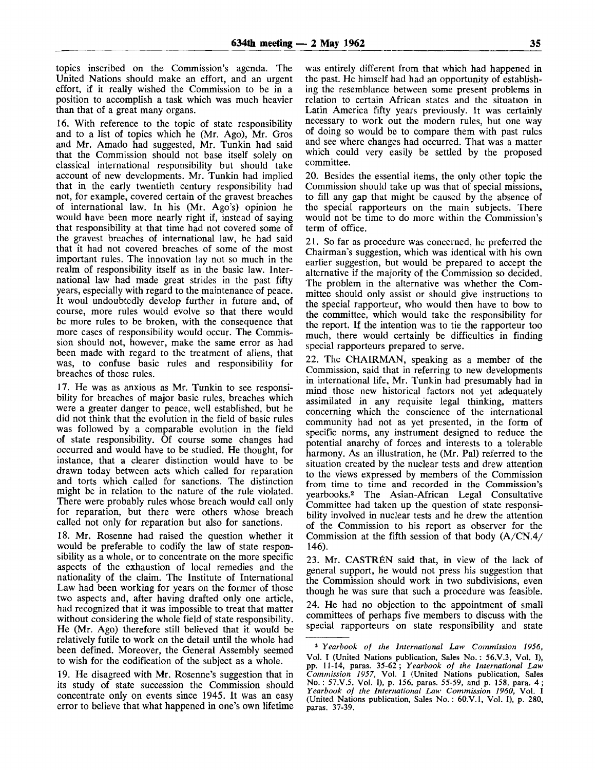topics inscribed on the Commission's agenda. The United Nations should make an effort, and an urgent effort, if it really wished the Commission to be in a position to accomplish a task which was much heavier than that of a great many organs.

16. With reference to the topic of state responsibility and to a list of topics which he (Mr. Ago), Mr. Gros and Mr. Amado had suggested, Mr. Tunkin had said that the Commission should not base itself solely on classical international responsibility but should take account of new developments. Mr. Tunkin had implied that in the early twentieth century responsibility had not, for example, covered certain of the gravest breaches of international law. In his (Mr. Ago's) opinion he would have been more nearly right if, instead of saying that responsibility at that time had not covered some of the gravest breaches of international law, he had said that it had not covered breaches of some of the most important rules. The innovation lay not so much in the realm of responsibility itself as in the basic law. International law had made great strides in the past fifty years, especially with regard to the maintenance of peace. It woul undoubtedly develop further in future and, of course, more rules would evolve so that there would be more rules to be broken, with the consequence that more cases of responsibility would occur. The Commission should not, however, make the same error as had been made with regard to the treatment of aliens, that was, to confuse basic rules and responsibility for breaches of those rules.

17. He was as anxious as Mr. Tunkin to see responsibility for breaches of major basic rules, breaches which were a greater danger to peace, well established, but he did not think that the evolution in the field of basic rules was followed by a comparable evolution in the field of state responsibility. Of course some changes had occurred and would have to be studied. He thought, for instance, that a clearer distinction would have to be drawn today between acts which called for reparation and torts which called for sanctions. The distinction might be in relation to the nature of the rule violated. There were probably rules whose breach would call only for reparation, but there were others whose breach called not only for reparation but also for sanctions.

18. Mr. Rosenne had raised the question whether it would be preferable to codify the law of state responsibility as a whole, or to concentrate on the more specific aspects of the exhaustion of local remedies and the nationality of the claim. The Institute of International Law had been working for years on the former of those two aspects and, after having drafted only one article, had recognized that it was impossible to treat that matter without considering the whole field of state responsibility. He (Mr. Ago) therefore still believed that it would be relatively futile to work on the detail until the whole had been defined. Moreover, the General Assembly seemed to wish for the codification of the subject as a whole.

19. He disagreed with Mr. Rosenne's suggestion that in its study of state succession the Commission should concentrate only on events since 1945. it was an easy error to believe that what happened in one's own lifetime

was entirely different from that which had happened in the past. He himself had had an opportunity of establishing the resemblance between some present problems in relation to certain African states and the situation in Latin America fifty years previously. It was certainly necessary to work out the modern rules, but one way of doing so would be to compare them with past rules and see where changes had occurred. That was a matter which could very easily be settled by the proposed committee.

20. Besides the essential items, the only other topic the Commission should take up was that of special missions, to fill any gap that might be caused by the absence of the special rapporteurs on the main subjects. There would not be time to do more within the Commission's term of office.

21. So far as procedure was concerned, he preferred the Chairman's suggestion, which was identical with his own earlier suggestion, but would be prepared to accept the alternative if the majority of the Commission so decided. The problem in the alternative was whether the Committee should only assist or should give instructions to the special rapporteur, who would then have to bow to the committee, which would take the responsibility for the report. If the intention was to tie the rapporteur too much, there would certainly be difficulties in finding special rapporteurs prepared to serve.

22. The CHAIRMAN, speaking as a member of the Commission, said that in referring to new developments in international life, Mr. Tunkin had presumably had in mind those new historical factors not yet adequately assimilated in any requisite legal thinking, matters concerning which the conscience of the international community had not as yet presented, in the form of specific norms, any instrument designed to reduce the potential anarchy of forces and interests to a tolerable harmony. As an illustration, he (Mr. Pal) referred to the situation created by the nuclear tests and drew attention to the views expressed by members of the Commission from time to time and recorded in the Commission's yearbooks.<sup>2</sup> The Asian-African Legal Consultative Committee had taken up the question of state responsibility involved in nuclear tests and he drew the attention of the Commission to his report as observer for the Commission at the fifth session of that body (A/CN.4/ 146).

23. Mr. CASTREN said that, in view of the lack of general support, he would not press his suggestion that the Commission should work in two subdivisions, even though he was sure that such a procedure was feasible.

24. He had no objection to the appointment of small committees of perhaps five members to discuss with the special rapporteurs on state responsibility and state

<sup>2</sup>  *Yearbook of the International Law Commission 1956,* Vol. I (United Nations publication, Sales No.: 56.V.3, Vol. I), pp. 11-14, paras. 35-62; *Yearbook of the International Law Commission 1957,* Vol. I (United Nations publication, Sales No. : 57.V.5, Vol. I), p. 156, paras. 55-59, and p. 158, para. 4 ; *Yearbook of the International Law Commission 1960,* Vol. I (United Nations publication, Sales No.: 60.V.1, Vol. I), p. 280, paras. 37-39.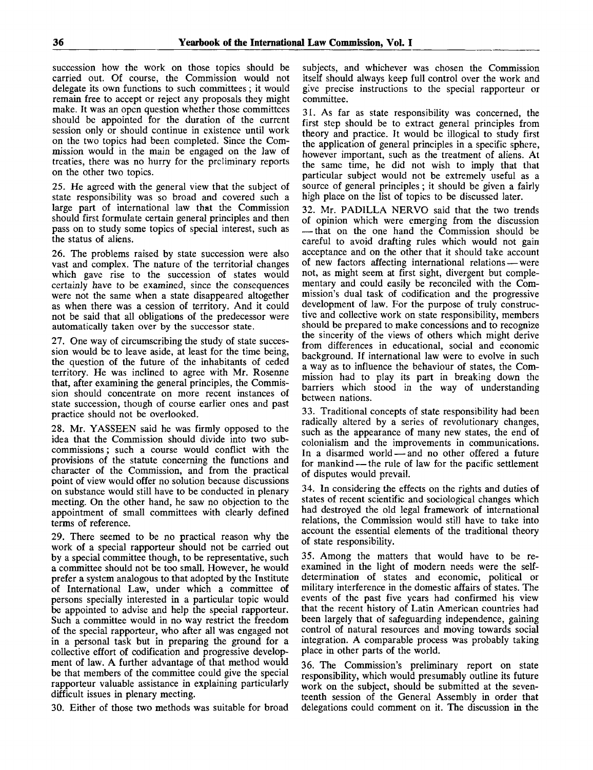succession how the work on those topics should be carried out. Of course, the Commission would not delegate its own functions to such committees ; it would remain free to accept or reject any proposals they might make. It was an open question whether those committees should be appointed for the duration of the current session only or should continue in existence until work on the two topics had been completed. Since the Commission would in the main be engaged on the law of treaties, there was no hurry for the preliminary reports on the other two topics.

25. He agreed with the general view that the subject of state responsibility was so broad and covered such a large part of international law that the Commission should first formulate certain general principles and then pass on to study some topics of special interest, such as the status of aliens.

26. The problems raised by state succession were also vast and complex. The nature of the territorial changes which gave rise to the succession of states would certainly have to be examined, since the consequences were not the same when a state disappeared altogether as when there was a cession of territory. And it could not be said that all obligations of the predecessor were automatically taken over by the successor state.

27. One way of circumscribing the study of state succession would be to leave aside, at least for the time being, the question of the future of the inhabitants of ceded territory. He was inclined to agree with Mr. Rosenne that, after examining the general principles, the Commission should concentrate on more recent instances of state succession, though of course earlier ones and past practice should not be overlooked.

28. Mr. YASSEEN said he was firmly opposed to the idea that the Commission should divide into two subcommissions ; such a course would conflict with the provisions of the statute concerning the functions and character of the Commission, and from the practical point of view would offer no solution because discussions on substance would still have to be conducted in plenary meeting. On the other hand, he saw no objection to the appointment of small committees with clearly defined terms of reference.

29. There seemed to be no practical reason why the work of a special rapporteur should not be carried out by a special committee though, to be representative, such a committee should not be too small. However, he would prefer a system analogous to that adopted by the Institute of International Law, under which a committee of persons specially interested in a particular topic would be appointed to advise and help the special rapporteur. Such a committee would in no way restrict the freedom of the special rapporteur, who after all was engaged not in a personal task but in preparing the ground for a collective effort of codification and progressive development of law. A further advantage of that method would be that members of the committee could give the special rapporteur valuable assistance in explaining particularly difficult issues in plenary meeting.

30. Either of those two methods was suitable for broad

subjects, and whichever was chosen the Commission itself should always keep full control over the work and give precise instructions to the special rapporteur or committee.

31. As far as state responsibility was concerned, the first step should be to extract general principles from theory and practice. It would be illogical to study first the application of general principles in a specific sphere, however important, such as the treatment of aliens. At the same time, he did not wish to imply that that particular subject would not be extremely useful as a source of general principles; it should be given a fairly high place on the list of topics to be discussed later.

32. Mr. PADILLA NERVO said that the two trends of opinion which were emerging from the discussion — that on the one hand the Commission should be careful to avoid drafting rules which would not gain acceptance and on the other that it should take account of new factors affecting international relations — were not, as might seem at first sight, divergent but complementary and could easily be reconciled with the Commission's dual task of codification and the progressive development of law. For the purpose of truly constructive and collective work on state responsibility, members should be prepared to make concessions and to recognize the sincerity of the views of others which might derive from differences in educational, social and economic background. If international law were to evolve in such a way as to influence the behaviour of states, the Commission had to play its part in breaking down the barriers which stood in the way of understanding between nations.

33. Traditional concepts of state responsibility had been radically altered by a series of revolutionary changes, such as the appearance of many new states, the end of colonialism and the improvements in communications. In a disarmed world — and no other offered a future for mankind — the rule of law for the pacific settlement of disputes would prevail.

34. In considering the effects on the rights and duties of states of recent scientific and sociological changes which had destroyed the old legal framework of international relations, the Commission would still have to take into account the essential elements of the traditional theory of state responsibility.

35. Among the matters that would have to be reexamined in the light of modern needs were the selfdetermination of states and economic, political or military interference in the domestic affairs of states. The events of the past five years had confirmed his view that the recent history of Latin American countries had been largely that of safeguarding independence, gaining control of natural resources and moving towards social integration. A comparable process was probably taking place in other parts of the world.

36. The Commission's preliminary report on state responsibility, which would presumably outline its future work on the subject, should be submitted at the seventeenth session of the General Assembly in order that delegations could comment on it. The discussion in the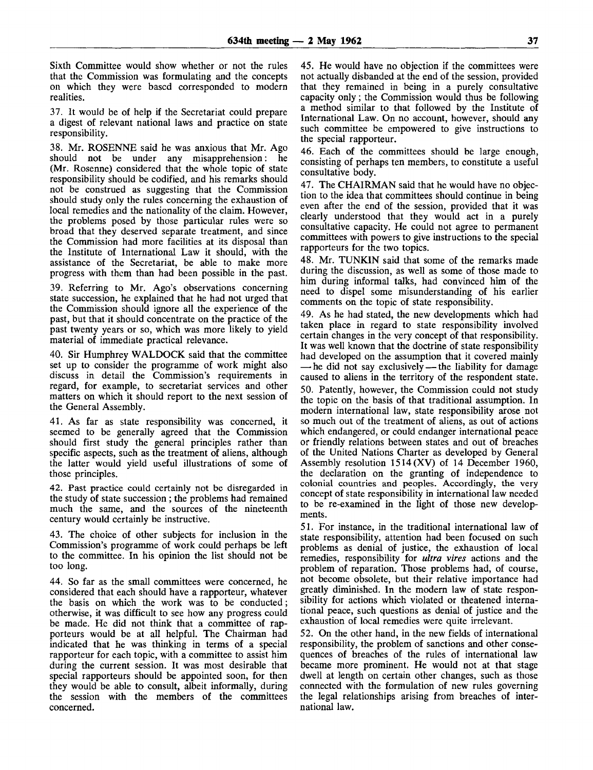Sixth Committee would show whether or not the rules that the Commission was formulating and the concepts on which they were based corresponded to modern realities.

37. It would be of help if the Secretariat could prepare a digest of relevant national laws and practice on state responsibility.

38. Mr. ROSENNE said he was anxious that Mr. Ago should not be under any misapprehension: he (Mr. Rosenne) considered that the whole topic of state responsibility should be codified, and his remarks should not be construed as suggesting that the Commission should study only the rules concerning the exhaustion of local remedies and the nationality of the claim. However, the problems posed by those particular rules were so broad that they deserved separate treatment, and since the Commission had more facilities at its disposal than the Institute of International Law it should, with the assistance of the Secretariat, be able to make more progress with them than had been possible in the past.

39. Referring to Mr. Ago's observations concerning state succession, he explained that he had not urged that the Commission should ignore all the experience of the past, but that it should concentrate on the practice of the past twenty years or so, which was more likely to yield material of immediate practical relevance.

40. Sir Humphrey WALDOCK said that the committee set up to consider the programme of work might also discuss in detail the Commission's requirements in regard, for example, to secretariat services and other matters on which it should report to the next session of the General Assembly.

41. As far as state responsibility was concerned, it seemed to be generally agreed that the Commission should first study the general principles rather than specific aspects, such as the treatment of aliens, although the latter would yield useful illustrations of some of those principles.

42. Past practice could certainly not be disregarded in the study of state succession ; the problems had remained much the same, and the sources of the nineteenth century would certainly be instructive.

43. The choice of other subjects for inclusion in the Commission's programme of work could perhaps be left to the committee. In his opinion the list should not be too long.

44. So far as the small committees were concerned, he considered that each should have a rapporteur, whatever the basis on which the work was to be conducted; otherwise, it was difficult to see how any progress could be made. He did not think that a committee of rapporteurs would be at all helpful. The Chairman had indicated that he was thinking in terms of a special rapporteur for each topic, with a committee to assist him during the current session. It was most desirable that special rapporteurs should be appointed soon, for then they would be able to consult, albeit informally, during the session with the members of the committees concerned.

45. He would have no objection if the committees were not actually disbanded at the end of the session, provided that they remained in being in a purely consultative capacity only; the Commission would thus be following a method similar to that followed by the Institute of International Law. On no account, however, should any such committee be empowered to give instructions to the special rapporteur.

46. Each of the committees should be large enough, consisting of perhaps ten members, to constitute a useful consultative body.

47. The CHAIRMAN said that he would have no objection to the idea that committees should continue in being even after the end of the session, provided that it was clearly understood that they would act in a purely consultative capacity. He could not agree to permanent committees with powers to give instructions to the special rapporteurs for the two topics.

48. Mr. TUNKIN said that some of the remarks made during the discussion, as well as some of those made to him during informal talks, had convinced him of the need to dispel some misunderstanding of his earlier comments on the topic of state responsibility.

49. As he had stated, the new developments which had taken place in regard to state responsibility involved certain changes in the very concept of that responsibility. It was well known that the doctrine of state responsibility had developed on the assumption that it covered mainly — he did not say exclusively — the liability for damage caused to aliens in the territory of the respondent state. 50. Patently, however, the Commission could not study the topic on the basis of that traditional assumption. In modern international law, state responsibility arose not so much out of the treatment of aliens, as out of actions which endangered, or could endanger international peace or friendly relations between states and out of breaches of the United Nations Charter as developed by General Assembly resolution 1514 (XV) of 14 December 1960, the declaration on the granting of independence to colonial countries and peoples. Accordingly, the very concept of state responsibility in international law needed to be re-examined in the light of those new developments.

51. For instance, in the traditional international law of state responsibility, attention had been focused on such problems as denial of justice, the exhaustion of local remedies, responsibility for *ultra vires* actions and the problem of reparation. Those problems had, of course, not become obsolete, but their relative importance had greatly diminished. In the modern law of state responsibility for actions which violated or theatened international peace, such questions as denial of justice and the exhaustion of local remedies were quite irrelevant.

52. On the other hand, in the new fields of international responsibility, the problem of sanctions and other consequences of breaches of the rules of international law became more prominent. He would not at that stage dwell at length on certain other changes, such as those connected with the formulation of new rules governing the legal relationships arising from breaches of international law.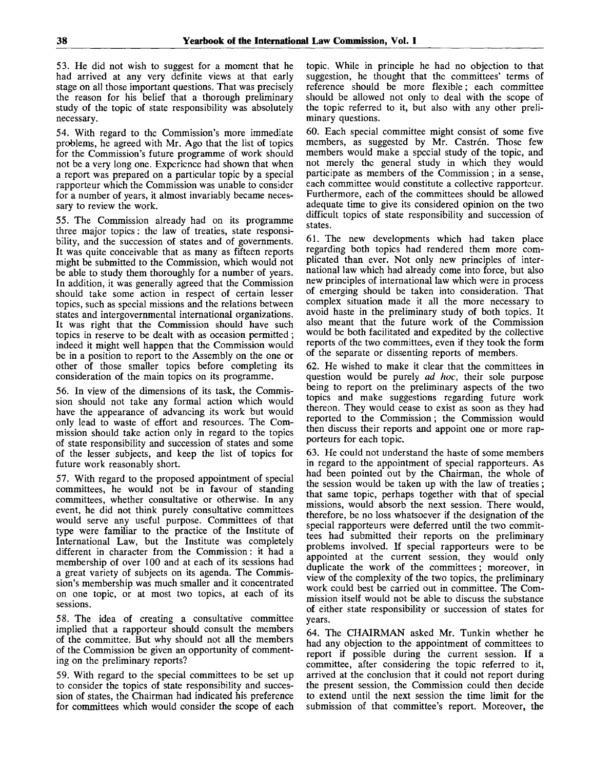53. He did not wish to suggest for a moment that he had arrived at any very definite views at that early stage on all those important questions. That was precisely the reason for his belief that a thorough preliminary study of the topic of state responsibility was absolutely necessary.

54. With regard to the Commission's more immediate problems, he agreed with Mr. Ago that the list of topics for the Commission's future programme of work should not be a very long one. Experience had shown that when a report was prepared on a particular topic by a special rapporteur which the Commission was unable to consider for a number of years, it almost invariably became necessary to review the work.

55. The Commission already had on its programme three major topics: the law of treaties, state responsibility, and the succession of states and of governments. It was quite conceivable that as many as fifteen reports might be submitted to the Commission, which would not be able to study them thoroughly for a number of years. In addition, it was generally agreed that the Commission should take some action in respect of certain lesser topics, such as special missions and the relations between states and intergovernmental international organizations. It was right that the Commission should have such topics in reserve to be dealt with as occasion permitted ; indeed it might well happen that the Commission would be in a position to report to the Assembly on the one or other of those smaller topics before completing its consideration of the main topics on its programme.

56. In view of the dimensions of its task, the Commission should not take any formal action which would have the appearance of advancing its work but would only lead to waste of effort and resources. The Commission should take action only in regard to the topics of state responsibility and succession of states and some of the lesser subjects, and keep the list of topics for future work reasonably short.

57. With regard to the proposed appointment of special committees, he would not be in favour of standing committees, whether consultative or otherwise. In any event, he did not think purely consultative committees would serve any useful purpose. Committees of that type were familiar to the practice of the Institute of International Law, but the Institute was completely different in character from the Commission: it had a membership of over 100 and at each of its sessions had a great variety of subjects on its agenda. The Commission's membership was much smaller and it concentrated on one topic, or at most two topics, at each of its sessions.

58. The idea of creating a consultative committee implied that a rapporteur should consult the members of the committee. But why should not all the members of the Commission be given an opportunity of commenting on the preliminary reports?

59. With regard to the special committees to be set up to consider the topics of state responsibility and succession of states, the Chairman had indicated his preference for committees which would consider the scope of each

topic. While in principle he had no objection to that suggestion, he thought that the committees' terms of reference should be more flexible; each committee should be allowed not only to deal with the scope of the topic referred to it, but also with any other preliminary questions.

60. Each special committee might consist of some five members, as suggested by Mr. Castrén. Those few members would make a special study of the topic, and not merely the general study in which they would participate as members of the Commission; in a sense, each committee would constitute a collective rapporteur. Furthermore, each of the committees should be allowed adequate time to give its considered opinion on the two difficult topics of state responsibility and succession of states.

61. The new developments which had taken place regarding both topics had rendered them more complicated than ever. Not only new principles of international law which had already come into force, but also new principles of international law which were in process of emerging should be taken into consideration. That complex situation made it all the more necessary to avoid haste in the preliminary study of both topics. It also meant that the future work of the Commission would be both facilitated and expedited by the collective reports of the two committees, even if they took the form of the separate or dissenting reports of members.

62. He wished to make it clear that the committees in question would be purely *ad hoc,* their sole purpose being to report on the preliminary aspects of the two topics and make suggestions regarding future work thereon. They would cease to exist as soon as they had reported to the Commission; the Commission would then discuss their reports and appoint one or more rapporteurs for each topic.

63. He could not understand the haste of some members in regard to the appointment of special rapporteurs. As had been pointed out by the Chairman, the whole of the session would be taken up with the law of treaties; that same topic, perhaps together with that of special missions, would absorb the next session. There would, therefore, be no loss whatsoever if the designation of the special rapporteurs were deferred until the two committees had submitted their reports on the preliminary problems involved. If special rapporteurs were to be appointed at the current session, they would only duplicate the work of the committees; moreover, in view of the complexity of the two topics, the preliminary work could best be carried out in committee. The Commission itself would not be able to discuss the substance of either state responsibility or succession of states for years.

64. The CHAIRMAN asked Mr. Tunkin whether he had any objection to the appointment of committees to report if possible during the current session. If a committee, after considering the topic referred to it, arrived at the conclusion that it could not report during the present session, the Commission could then decide to extend until the next session the time limit for the submission of that committee's report. Moreover, the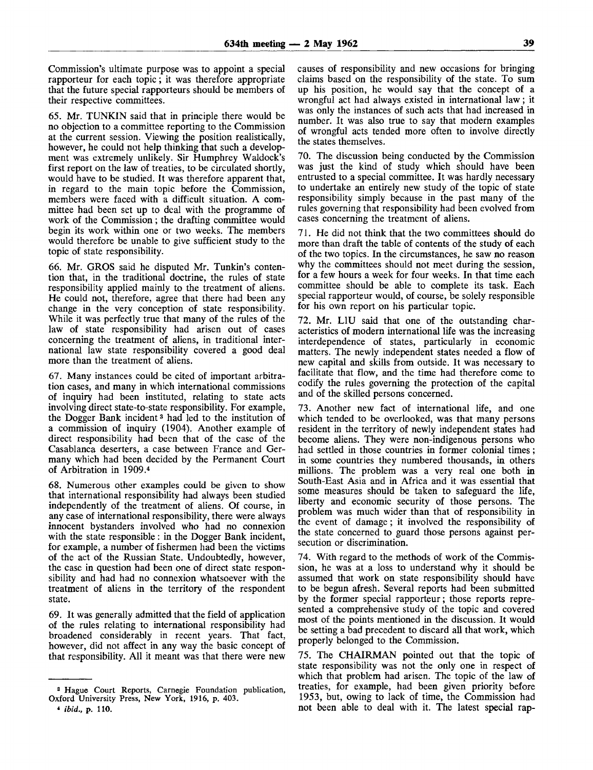Commission's ultimate purpose was to appoint a special rapporteur for each topic; it was therefore appropriate that the future special rapporteurs should be members of their respective committees.

65. Mr. TUNKIN said that in principle there would be no objection to a committee reporting to the Commission at the current session. Viewing the position realistically, however, he could not help thinking that such a development was extremely unlikely. Sir Humphrey Waldock's first report on the law of treaties, to be circulated shortly, would have to be studied. It was therefore apparent that, in regard to the main topic before the Commission, members were faced with a difficult situation. A committee had been set up to deal with the programme of work of the Commission ; the drafting committee would begin its work within one or two weeks. The members would therefore be unable to give sufficient study to the topic of state responsibility.

66. Mr. GROS said he disputed Mr. Tunkin's contention that, in the traditional doctrine, the rules of state responsibility applied mainly to the treatment of aliens. He could not, therefore, agree that there had been any change in the very conception of state responsibility. While it was perfectly true that many of the rules of the law of state responsibility had arisen out of cases concerning the treatment of aliens, in traditional international law state responsibility covered a good deal more than the treatment of aliens.

67. Many instances could be cited of important arbitration cases, and many in which international commissions of inquiry had been instituted, relating to state acts involving direct state-to-state responsibility. For example, the Dogger Bank incident<sup>3</sup> had led to the institution of a commission of inquiry (1904). Another example of direct responsibility had been that of the case of the Casablanca deserters, a case between France and Germany which had been decided by the Permanent Court of Arbitration in 1909.<sup>4</sup>

68. Numerous other examples could be given to show that international responsibility had always been studied independently of the treatment of aliens. Of course, in any case of international responsibility, there were always innocent bystanders involved who had no connexion with the state responsible : in the Dogger Bank incident, for example, a number of fishermen had been the victims of the act of the Russian State. Undoubtedly, however, the case in question had been one of direct state responsibility and had had no connexion whatsoever with the treatment of aliens in the territory of the respondent state.

69. It was generally admitted that the field of application of the rules relating to international responsibility had broadened considerably in recent years. That fact, however, did not affect in any way the basic concept of that responsibility. All it meant was that there were new

causes of responsibility and new occasions for bringing claims based on the responsibility of the state. To sum up his position, he would say that the concept of a wrongful act had always existed in international law; it was only the instances of such acts that had increased in number. It was also true to say that modern examples of wrongful acts tended more often to involve directly the states themselves.

70. The discussion being conducted by the Commission was just the kind of study which should have been entrusted to a special committee. It was hardly necessary to undertake an entirely new study of the topic of state responsibility simply because in the past many of the rules governing that responsibility had been evolved from cases concerning the treatment of aliens.

71. He did not think that the two committees should do more than draft the table of contents of the study of each of the two topics. In the circumstances, he saw no reason why the committees should not meet during the session, for a few hours a week for four weeks. In that time each committee should be able to complete its task. Each special rapporteur would, of course, be solely responsible for his own report on his particular topic.

72. Mr. LLU said that one of the outstanding characteristics of modern international life was the increasing interdependence of states, particularly in economic matters. The newly independent states needed a flow of new capital and skills from outside. It was necessary to facilitate that flow, and the time had therefore come to codify the rules governing the protection of the capital and of the skilled persons concerned.

73. Another new fact of international life, and one which tended to be overlooked, was that many persons resident in the territory of newly independent states had become aliens. They were non-indigenous persons who had settled in those countries in former colonial times ; in some countries they numbered thousands, in others millions. The problem was a very real one both in South-East Asia and in Africa and it was essential that some measures should be taken to safeguard the life, liberty and economic security of those persons. The problem was much wider than that of responsibility in the event of damage; it involved the responsibility of the state concerned to guard those persons against persecution or discrimination.

74. With regard to the methods of work of the Commission, he was at a loss to understand why it should be assumed that work on state responsibility should have to be begun afresh. Several reports had been submitted by the former special rapporteur; those reports represented a comprehensive study of the topic and covered most of the points mentioned in the discussion. It would be setting a bad precedent to discard all that work, which properly belonged to the Commission.

75. The CHAIRMAN pointed out that the topic of state responsibility was not the only one in respect of which that problem had arisen. The topic of the law of treaties, for example, had been given priority before 1953, but, owing to lack of time, the Commission had not been able to deal with it. The latest special rap-

<sup>3</sup> Hague Court Reports, Carnegie Foundation publication, Oxford University Press, New York, 1916, p. 403.

<sup>«</sup> *ibid.,* p. 110.